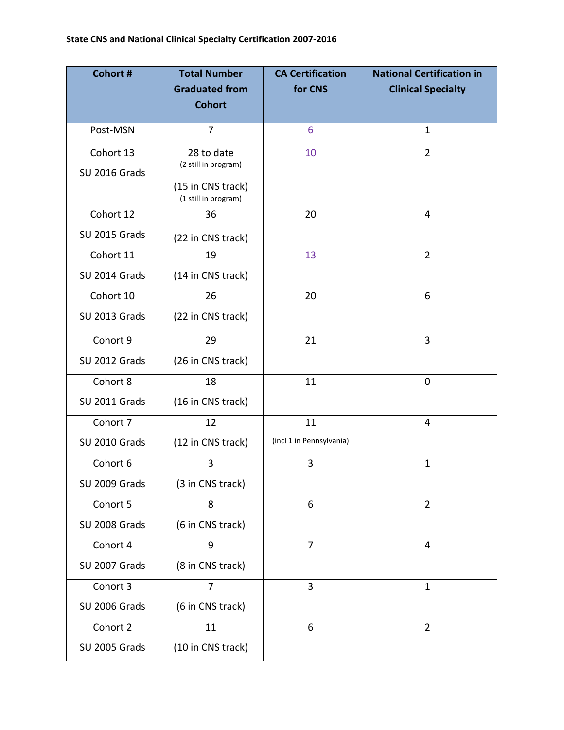| <b>Cohort #</b>      | <b>Total Number</b>                       | <b>CA Certification</b>  | <b>National Certification in</b> |
|----------------------|-------------------------------------------|--------------------------|----------------------------------|
|                      | <b>Graduated from</b><br><b>Cohort</b>    | for CNS                  | <b>Clinical Specialty</b>        |
|                      |                                           |                          |                                  |
| Post-MSN             | 7                                         | 6                        | 1                                |
| Cohort 13            | 28 to date                                | 10                       | $\overline{2}$                   |
| <b>SU 2016 Grads</b> | (2 still in program)                      |                          |                                  |
|                      | (15 in CNS track)<br>(1 still in program) |                          |                                  |
| Cohort 12            | 36                                        | 20                       | 4                                |
| SU 2015 Grads        | (22 in CNS track)                         |                          |                                  |
| Cohort 11            | 19                                        | 13                       | $\overline{2}$                   |
| SU 2014 Grads        | (14 in CNS track)                         |                          |                                  |
| Cohort 10            | 26                                        | 20                       | 6                                |
| SU 2013 Grads        | (22 in CNS track)                         |                          |                                  |
| Cohort 9             | 29                                        | 21                       | 3                                |
| SU 2012 Grads        | (26 in CNS track)                         |                          |                                  |
| Cohort 8             | 18                                        | 11                       | $\mathbf 0$                      |
| SU 2011 Grads        | (16 in CNS track)                         |                          |                                  |
| Cohort 7             | 12                                        | 11                       | 4                                |
| SU 2010 Grads        | (12 in CNS track)                         | (incl 1 in Pennsylvania) |                                  |
| Cohort 6             | 3                                         | 3                        | $\mathbf{1}$                     |
| SU 2009 Grads        | (3 in CNS track)                          |                          |                                  |
| Cohort 5             | 8                                         | 6                        | $\overline{2}$                   |
| SU 2008 Grads        | (6 in CNS track)                          |                          |                                  |
| Cohort 4             | 9                                         | 7                        | 4                                |
| SU 2007 Grads        | (8 in CNS track)                          |                          |                                  |
| Cohort 3             | $\overline{7}$                            | $\overline{3}$           | $\mathbf{1}$                     |
| SU 2006 Grads        | (6 in CNS track)                          |                          |                                  |
| Cohort 2             | 11                                        | 6                        | $\overline{2}$                   |
| SU 2005 Grads        | (10 in CNS track)                         |                          |                                  |